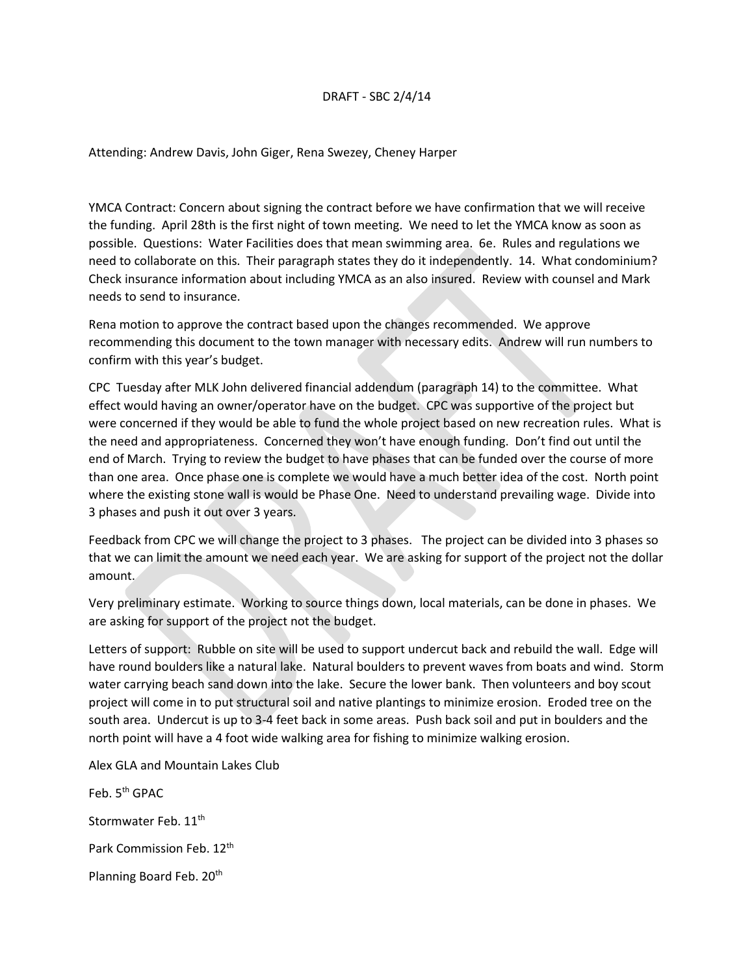## DRAFT - SBC 2/4/14

Attending: Andrew Davis, John Giger, Rena Swezey, Cheney Harper

YMCA Contract: Concern about signing the contract before we have confirmation that we will receive the funding. April 28th is the first night of town meeting. We need to let the YMCA know as soon as possible. Questions: Water Facilities does that mean swimming area. 6e. Rules and regulations we need to collaborate on this. Their paragraph states they do it independently. 14. What condominium? Check insurance information about including YMCA as an also insured. Review with counsel and Mark needs to send to insurance.

Rena motion to approve the contract based upon the changes recommended. We approve recommending this document to the town manager with necessary edits. Andrew will run numbers to confirm with this year's budget.

CPC Tuesday after MLK John delivered financial addendum (paragraph 14) to the committee. What effect would having an owner/operator have on the budget. CPC was supportive of the project but were concerned if they would be able to fund the whole project based on new recreation rules. What is the need and appropriateness. Concerned they won't have enough funding. Don't find out until the end of March. Trying to review the budget to have phases that can be funded over the course of more than one area. Once phase one is complete we would have a much better idea of the cost. North point where the existing stone wall is would be Phase One. Need to understand prevailing wage. Divide into 3 phases and push it out over 3 years.

Feedback from CPC we will change the project to 3 phases. The project can be divided into 3 phases so that we can limit the amount we need each year. We are asking for support of the project not the dollar amount.

Very preliminary estimate. Working to source things down, local materials, can be done in phases. We are asking for support of the project not the budget.

Letters of support: Rubble on site will be used to support undercut back and rebuild the wall. Edge will have round boulders like a natural lake. Natural boulders to prevent waves from boats and wind. Storm water carrying beach sand down into the lake. Secure the lower bank. Then volunteers and boy scout project will come in to put structural soil and native plantings to minimize erosion. Eroded tree on the south area. Undercut is up to 3-4 feet back in some areas. Push back soil and put in boulders and the north point will have a 4 foot wide walking area for fishing to minimize walking erosion.

Alex GLA and Mountain Lakes Club

Feb. 5<sup>th</sup> GPAC Stormwater Feb. 11<sup>th</sup> Park Commission Feb. 12<sup>th</sup> Planning Board Feb. 20<sup>th</sup>